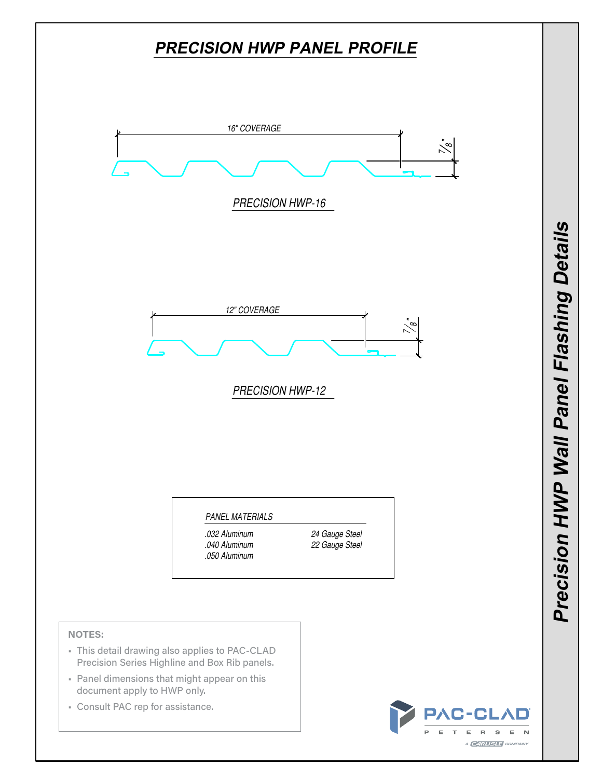

• Consult PAC rep for assistance.

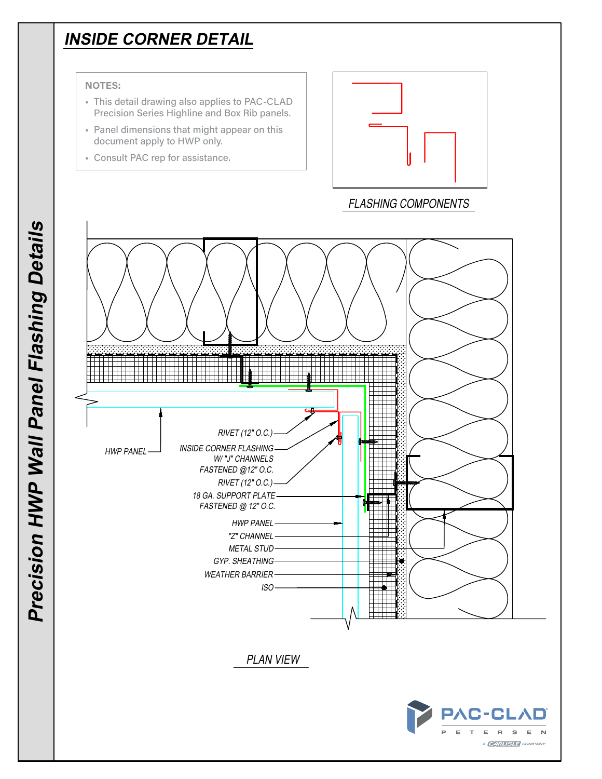## **INSIDE CORNER DETAIL**

#### **NOTES:**

- This detail drawing also applies to PAC-CLAD Precision Series Highline and Box Rib panels.
- Panel dimensions that might appear on this document apply to HWP only.
- Consult PAC rep for assistance.



FLASHING COMPONENTS

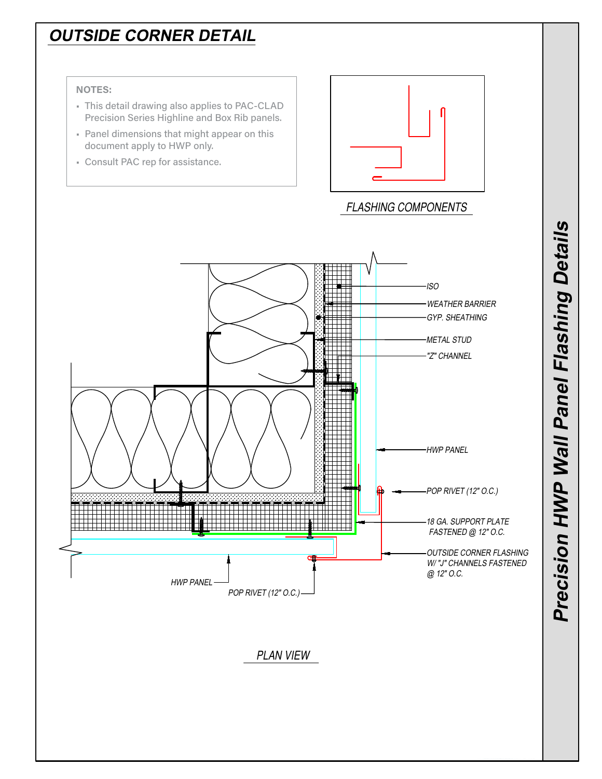# **OUTSIDE CORNER DETAIL**

### **NOTES:**

- This detail drawing also applies to PAC-CLAD Precision Series Highline and Box Rib panels.
- Panel dimensions that might appear on this document apply to HWP only.
- Consult PAC rep for assistance.



FLASHING COMPONENTS

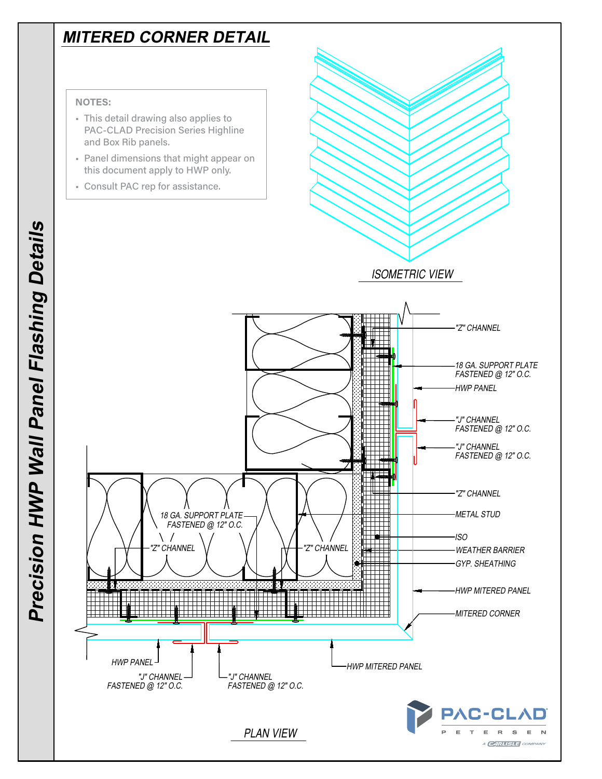## **MITERED CORNER DETAIL**

#### **NOTES:**

- This detail drawing also applies to PAC-CLAD Precision Series Highline and Box Rib panels.
- Panel dimensions that might appear on this document apply to HWP only.
- Consult PAC rep for assistance.



**C-CLAD** 

 $\mathrel{\mathop:}=$  $\mathbb{R}$  $\mathbbmss{S}$ A **CARLISLE** COM

FASTENED @ 12" O.C.

PLAN VIEW

"J" CHANNEL FASTENED @ 12" O.C.

\ /

HWP PANEL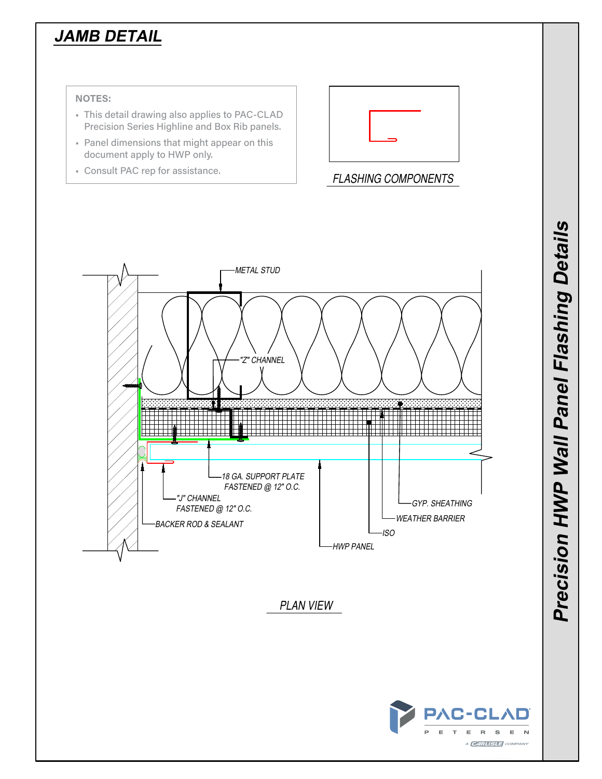# **JAMB DETAIL**

### **NOTES:**

- This detail drawing also applies to PAC-CLAD Precision Series Highline and Box Rib panels.
- Panel dimensions that might appear on this document apply to HWP only.
- Consult PAC rep for assistance.



FLASHING COMPONENTS

**Precision HWP Wall Panel Flashing Details**

Precision HWP Wall Panel Flashing Details

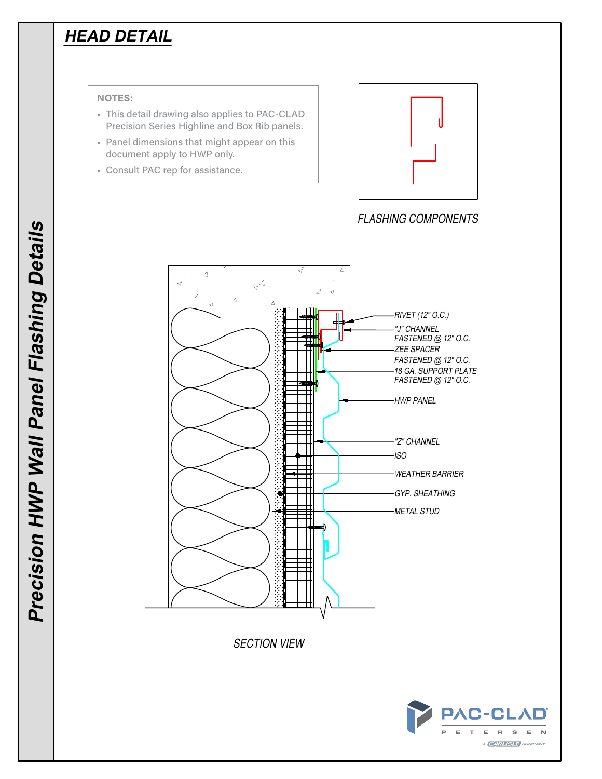## **HEAD DETAIL**

### **NOTES:**

- This detail drawing also applies to PAC-CLAD Precision Series Highline and Box Rib panels.
- Panel dimensions that might appear on this document apply to HWP only.
- Consult PAC rep for assistance.



## FLASHING COMPONENTS

 $\mathsf E$ N

A **CARLISLE** COMPANY

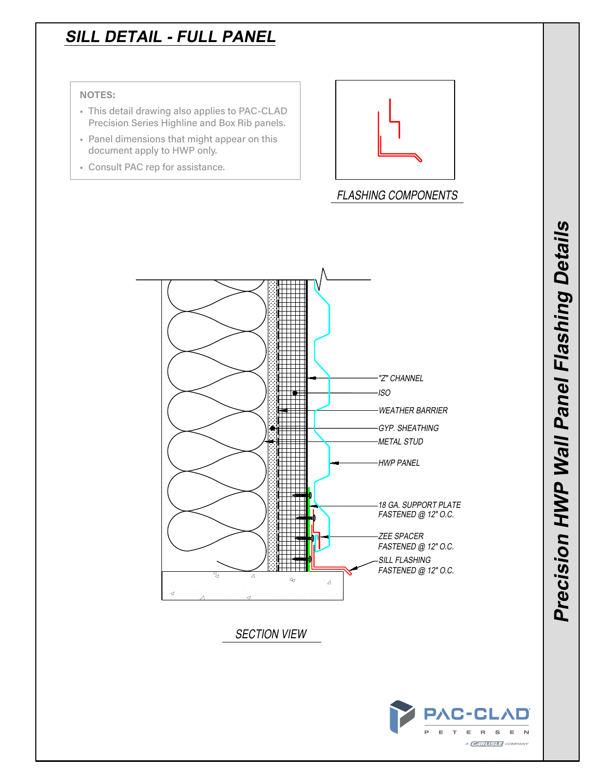## **SILL DETAIL - FULL PANEL**

### **NOTES:**

- This detail drawing also applies to PAC-CLAD Precision Series Highline and Box Rib panels.
- Panel dimensions that might appear on this document apply to HWP only.
- Consult PAC rep for assistance.



## FLASHING COMPONENTS



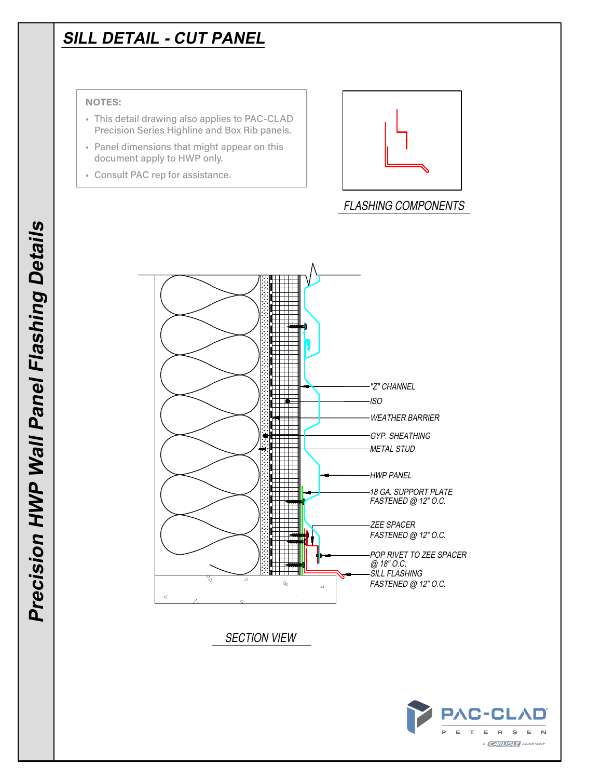# **SILL DETAIL - CUT PANEL**

#### **NOTES:**

- This detail drawing also applies to PAC-CLAD Precision Series Highline and Box Rib panels.
- Panel dimensions that might appear on this document apply to HWP only.
- Consult PAC rep for assistance.



FLASHING COMPONENTS



SECTION VIEW

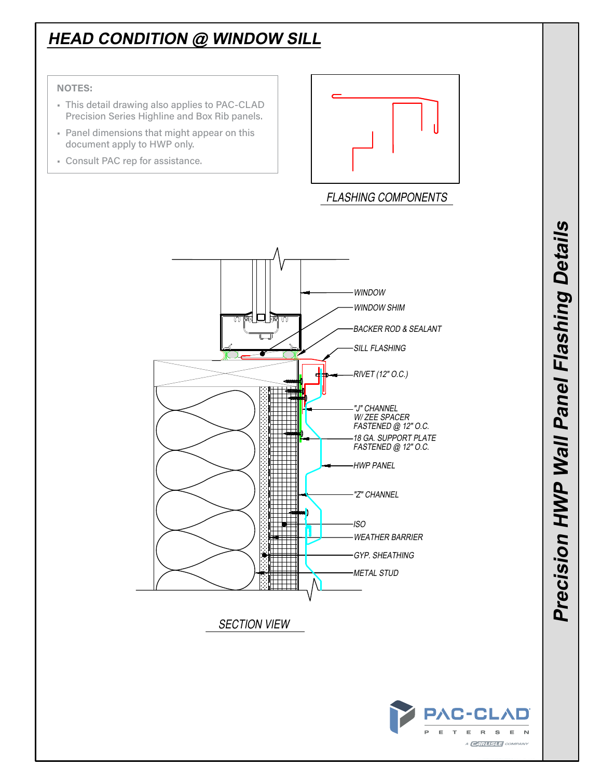# **HEAD CONDITION @ WINDOW SILL**

### **NOTES:**

- This detail drawing also applies to PAC-CLAD Precision Series Highline and Box Rib panels.
- Panel dimensions that might appear on this document apply to HWP only.
- Consult PAC rep for assistance.



## FLASHING COMPONENTS



SECTION VIEW

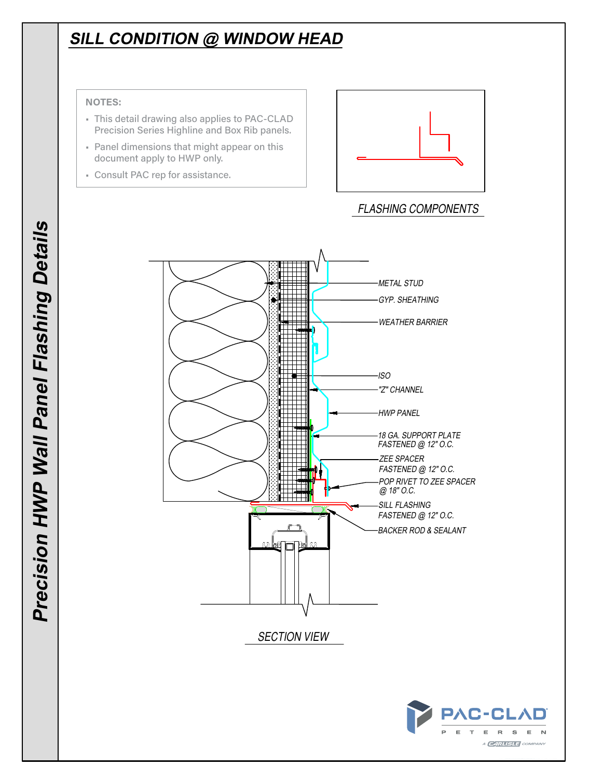# **SILL CONDITION @ WINDOW HEAD**

#### **NOTES:**

- This detail drawing also applies to PAC-CLAD Precision Series Highline and Box Rib panels.
- Panel dimensions that might appear on this document apply to HWP only.
- Consult PAC rep for assistance.



## FLASHING COMPONENTS

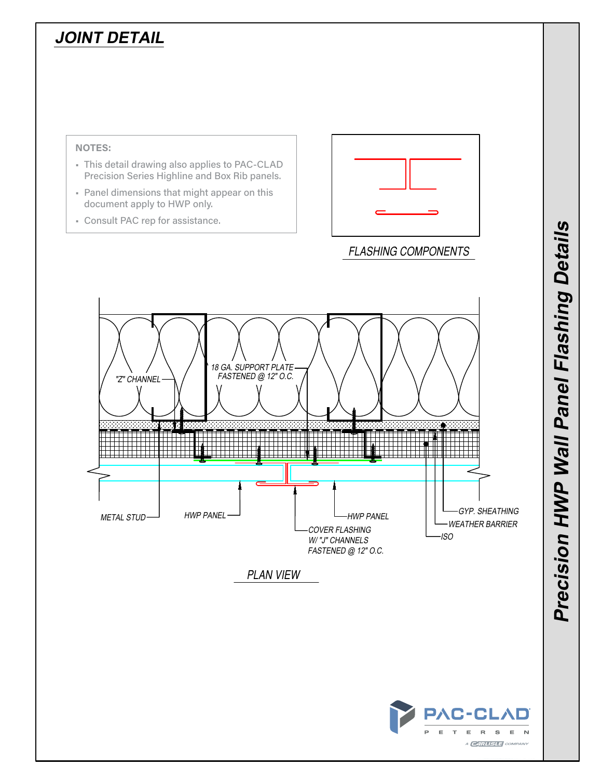# **JOINT DETAIL**



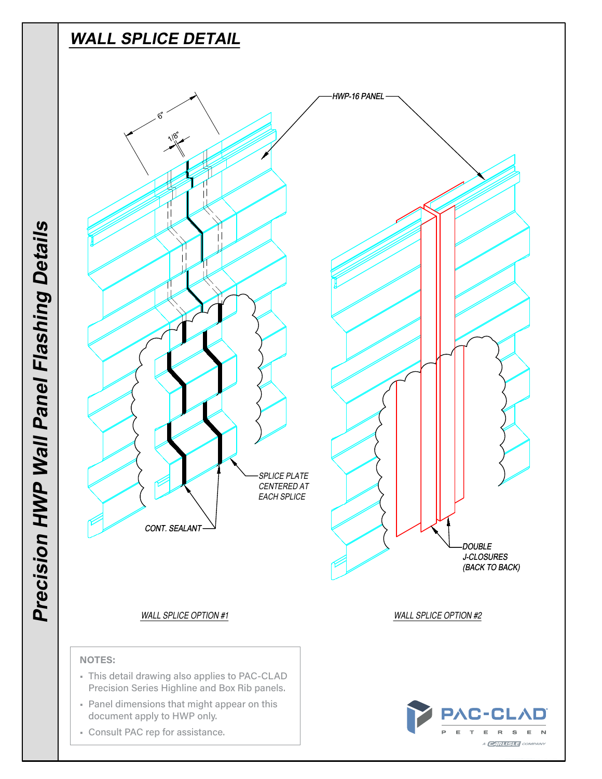